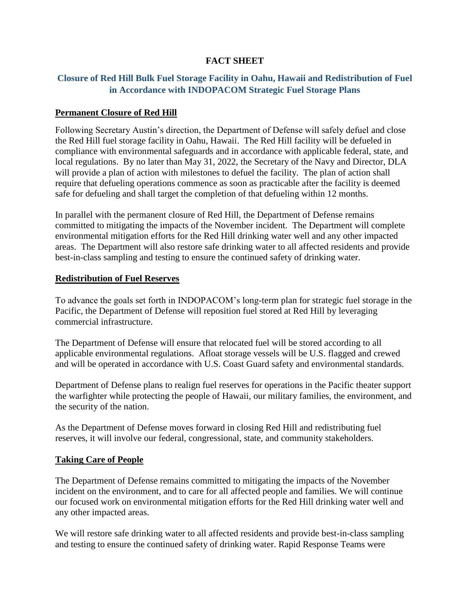## **FACT SHEET**

# **Closure of Red Hill Bulk Fuel Storage Facility in Oahu, Hawaii and Redistribution of Fuel in Accordance with INDOPACOM Strategic Fuel Storage Plans**

## **Permanent Closure of Red Hill**

Following Secretary Austin's direction, the Department of Defense will safely defuel and close the Red Hill fuel storage facility in Oahu, Hawaii. The Red Hill facility will be defueled in compliance with environmental safeguards and in accordance with applicable federal, state, and local regulations. By no later than May 31, 2022, the Secretary of the Navy and Director, DLA will provide a plan of action with milestones to defuel the facility. The plan of action shall require that defueling operations commence as soon as practicable after the facility is deemed safe for defueling and shall target the completion of that defueling within 12 months.

In parallel with the permanent closure of Red Hill, the Department of Defense remains committed to mitigating the impacts of the November incident. The Department will complete environmental mitigation efforts for the Red Hill drinking water well and any other impacted areas. The Department will also restore safe drinking water to all affected residents and provide best-in-class sampling and testing to ensure the continued safety of drinking water.

### **Redistribution of Fuel Reserves**

To advance the goals set forth in INDOPACOM's long-term plan for strategic fuel storage in the Pacific, the Department of Defense will reposition fuel stored at Red Hill by leveraging commercial infrastructure.

The Department of Defense will ensure that relocated fuel will be stored according to all applicable environmental regulations. Afloat storage vessels will be U.S. flagged and crewed and will be operated in accordance with U.S. Coast Guard safety and environmental standards.

Department of Defense plans to realign fuel reserves for operations in the Pacific theater support the warfighter while protecting the people of Hawaii, our military families, the environment, and the security of the nation.

As the Department of Defense moves forward in closing Red Hill and redistributing fuel reserves, it will involve our federal, congressional, state, and community stakeholders.

## **Taking Care of People**

The Department of Defense remains committed to mitigating the impacts of the November incident on the environment, and to care for all affected people and families. We will continue our focused work on environmental mitigation efforts for the Red Hill drinking water well and any other impacted areas.

We will restore safe drinking water to all affected residents and provide best-in-class sampling and testing to ensure the continued safety of drinking water. Rapid Response Teams were